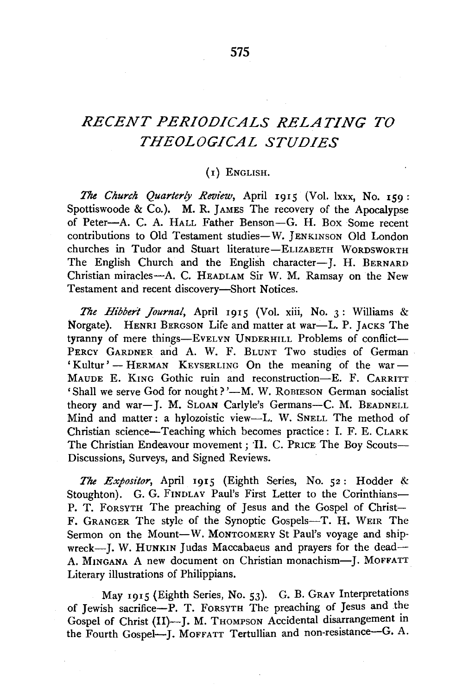## *RECENT PERIODICALS RELATING TO THEOLOGICAL STUDIES*

## (I) ENGLISH.

*The Church Quarterly Review,* April 1915 (Vol. lxxx, No. 159: Spottiswoode & Co.). M. R. JAMES The recovery of the Apocalypse of Peter-A. C. A. HALL Father Benson-G. H. Box Some recent contributions to Old Testament studies-W. JENKINSON Old London churches in Tudor and Stuart literature-ELIZABETH WORDSWORTH The English Church and the English character-J. H. BERNARD Christian miracles-A. C. HEADLAM Sir W. M. Ramsay on the New Testament and recent discovery-Short Notices.

*The Hibbert Journal,* April 1915 (Vol. xiii, No. 3: Williams & Norgate). HENRI BERGSON Life and matter at war-L. P. JACKS The tyranny of mere things-EVELYN UNDERHILL Problems of conflict-PERCY GARDNER and A. W. F. BLUNT Two studies of German 'Kultur' - HERMAN KEYSERLING On the meaning of the war -MAUDE E. KING Gothic ruin and reconstruction-E. F. CARRITT 'Shall we serve God for nought?'-M. W. ROBIESON German socialist theory and war-J. M. SLOAN Carlyle's Germans-C. M. BEADNELL Mind and matter: a hylozoistic view-L. W. SNELL The method of Christian science-Teaching which becomes practice : I. F. E. CLARK The Christian Endeavour movement ; 'II. C. PRICE The Boy Scouts-Discussions, Surveys, and Signed Reviews.

*The Expositor,* April 1915 (Eighth Series, No. 52: Hodder & Stoughton). G. G. FINDLAY Paul's First Letter to the Corinthians-P. T. FORSYTH The preaching of Jesus and the Gospel of Christ-F. GRANGER The style of the Synoptic Gospels-T. H. WEIR The Sermon on the Mount-W. MONTGOMERY St Paul's voyage and shipwreck-J. W. HUNKIN Judas Maccabaeus and prayers for the dead-A. MINGANA A new document on Christian monachism-J. MOFFATT Literary illustrations of Philippians.

May 1915 (Eighth Series, No. 53). G. B. GRAY Interpretations of Jewish sacrifice-P. T. FORSYTH The preaching of Jesus and the Gospel of Christ (II)-J. M. THOMPSON Accidental disarrangement in the Fourth Gospel-J. MOFFATT Tertullian and non-resistance-G. A.